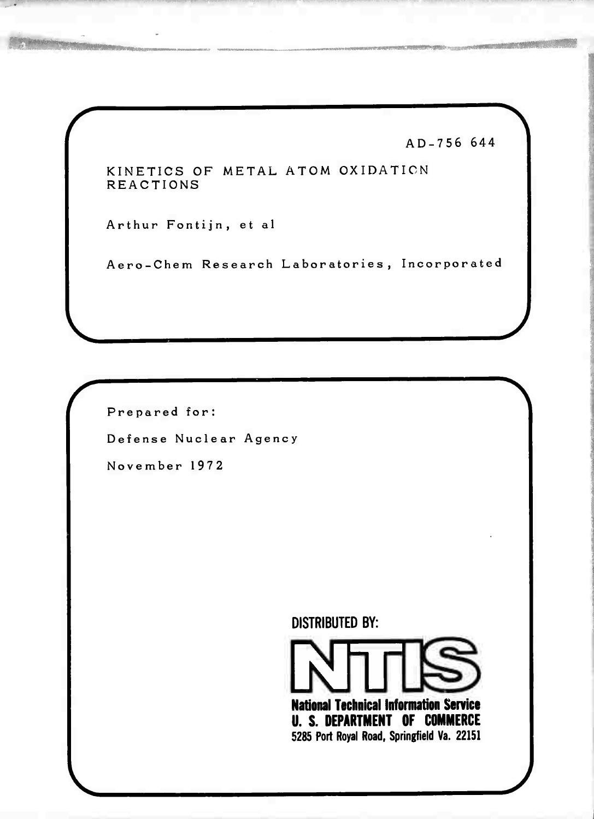# AD-756 644

KINETICS OF METAL ATOM OXIDATION REACTIONS

Arthur Fontijn, et al

Aero-Chem Research Laboratories, Incorporated

Prepared for:

Defense Nuclear Agency

November 1972

DISTRIBUTED BY:

Krai **National Technical Information Service U. S. DEPARTMENT OF COMMERCE 5285 Port Royal Road. Springfield Va. 22151**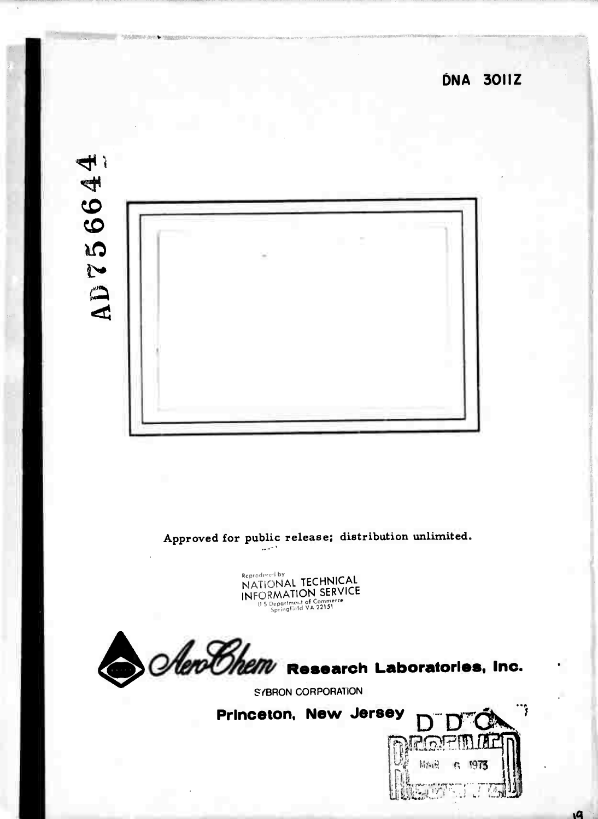

Approved for public release; distribution unlimited.

Reproduced by NATIONAL TECHNICAL INFORMATION SERVICE

SenChem Research Laboratories, Inc.

SYBRON CORPORATION

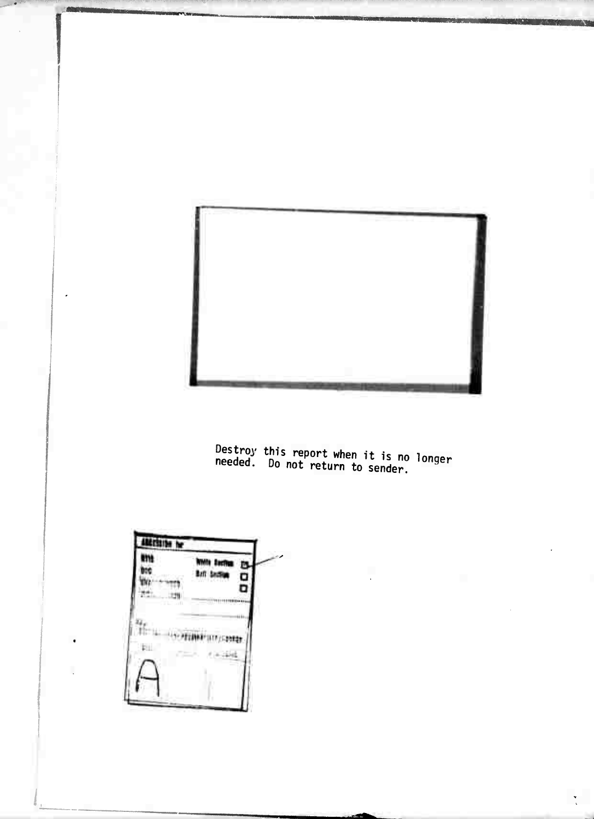

Destroy this report when it is no longer<br>needed. Do not return to sender.



 $\cdot$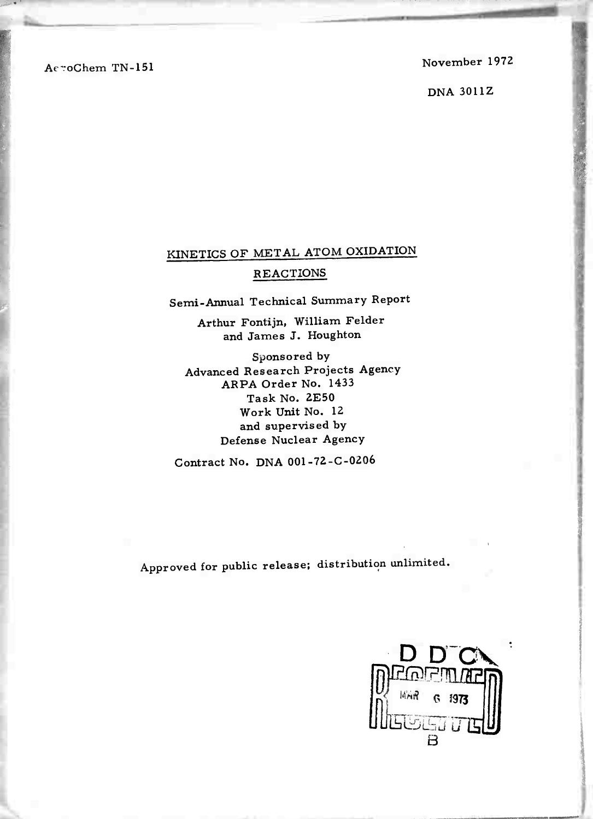DNA 3011Z

# KINETICS OF METAL ATOM OXIDATION REACTIONS

Semi-Annual Technical Summary Report

Arthur Fontijn, William Felder and James J. Houghton

Sponsored by Advanced Research Projects Agency ARPA Order No. 1433 Task No. 2E50 Work Unit No. 12 and supervised by Defense Nuclear Agency

Contract No. DNA 001-72-C-0206

Approved for public release; distribution unlimited.

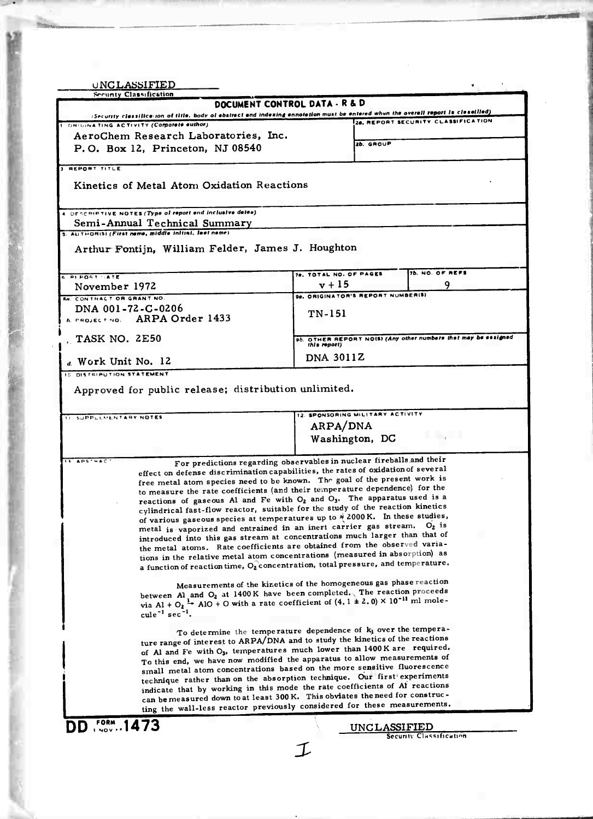| UNCLASSIFIED                                                                                                                                             |                                                                                                                                                                            |  |  |  |
|----------------------------------------------------------------------------------------------------------------------------------------------------------|----------------------------------------------------------------------------------------------------------------------------------------------------------------------------|--|--|--|
| <b>Security Classification</b><br>DOCUMENT CONTROL DATA - R & D                                                                                          |                                                                                                                                                                            |  |  |  |
| (Security classifice ion of title, body of ebstract and indexing ennotetion must be entered when the overall report is classified)                       |                                                                                                                                                                            |  |  |  |
| ORIGINATING ACTIVITY (Corporate euthor)                                                                                                                  | 28. REPORT SECURITY CLASSIFICATION                                                                                                                                         |  |  |  |
| AeroChem Research Laboratories, Inc.                                                                                                                     |                                                                                                                                                                            |  |  |  |
|                                                                                                                                                          | 26. GROUP                                                                                                                                                                  |  |  |  |
| P.O. Box 12, Princeton, NJ 08540                                                                                                                         |                                                                                                                                                                            |  |  |  |
| 3 REPORT TITLE                                                                                                                                           |                                                                                                                                                                            |  |  |  |
|                                                                                                                                                          |                                                                                                                                                                            |  |  |  |
| Kinetics of Metal Atom Oxidation Reactions                                                                                                               |                                                                                                                                                                            |  |  |  |
|                                                                                                                                                          |                                                                                                                                                                            |  |  |  |
| 4. DESCRIPTIVE NOTES (Type of report and inclusive detes)                                                                                                |                                                                                                                                                                            |  |  |  |
| Semi-Annual Technical Summary                                                                                                                            |                                                                                                                                                                            |  |  |  |
| 5. AUTHOR(S) (First neme, middle initial, last neme)                                                                                                     |                                                                                                                                                                            |  |  |  |
| Arthur Fontijn, William Felder, James J. Houghton                                                                                                        |                                                                                                                                                                            |  |  |  |
|                                                                                                                                                          |                                                                                                                                                                            |  |  |  |
|                                                                                                                                                          |                                                                                                                                                                            |  |  |  |
| <b>6 PLPORT LATE</b>                                                                                                                                     | 76. NO. OF REFS<br><b>76. TOTAL NO. OF PAGES</b>                                                                                                                           |  |  |  |
| November 1972                                                                                                                                            | $v + 15$<br>9                                                                                                                                                              |  |  |  |
| <b>BA. CONTHACT OR GRANT NO.</b>                                                                                                                         | <b>96. ORIGINATOR'S REPORT NUMBER(S)</b>                                                                                                                                   |  |  |  |
| DNA 001-72-C-0206                                                                                                                                        | $TN-151$                                                                                                                                                                   |  |  |  |
| M. PROJECT NO. ARPA Order 1433                                                                                                                           |                                                                                                                                                                            |  |  |  |
| TASK NO. 2E50                                                                                                                                            |                                                                                                                                                                            |  |  |  |
|                                                                                                                                                          | 96. OTHER REPORT NOIS) (Any other numbers that may be essigned this report)                                                                                                |  |  |  |
| d. Work Unit No. 12                                                                                                                                      | DNA 3011Z                                                                                                                                                                  |  |  |  |
|                                                                                                                                                          |                                                                                                                                                                            |  |  |  |
| IC DISTRIBUTION STATEMENT                                                                                                                                |                                                                                                                                                                            |  |  |  |
| Approved for public release; distribution unlimited.                                                                                                     |                                                                                                                                                                            |  |  |  |
|                                                                                                                                                          |                                                                                                                                                                            |  |  |  |
| <b>11 SUPPLEMENTARY NOTES</b>                                                                                                                            | 12. SPONSORING MILITARY ACTIVITY                                                                                                                                           |  |  |  |
|                                                                                                                                                          | ARPA/DNA                                                                                                                                                                   |  |  |  |
|                                                                                                                                                          | <b>Contract Contract Contract</b><br>Washington, DC                                                                                                                        |  |  |  |
|                                                                                                                                                          |                                                                                                                                                                            |  |  |  |
| 13 APS HAC                                                                                                                                               | For predictions regarding observables in nuclear fireballs and their                                                                                                       |  |  |  |
|                                                                                                                                                          | effect on defense discrimination capabilities, the rates of oxidation of several                                                                                           |  |  |  |
|                                                                                                                                                          | free metal atom species need to be known. The goal of the present work is                                                                                                  |  |  |  |
|                                                                                                                                                          | to measure the rate coefficients (and their temperature dependence) for the                                                                                                |  |  |  |
|                                                                                                                                                          | reactions of gaseous Al and Fe with $O_2$ and $O_3$ . The apparatus used is a                                                                                              |  |  |  |
|                                                                                                                                                          | cylindrical fast-flow reactor, suitable for the study of the reaction kinetics<br>of various gaseous species at temperatures up to $\frac{3}{4}$ 2000 K. In these studies, |  |  |  |
|                                                                                                                                                          | metal is vaporized and entrained in an inert carrier gas stream. O2 is                                                                                                     |  |  |  |
|                                                                                                                                                          | introduced into this gas stream at concentrations much larger than that of                                                                                                 |  |  |  |
|                                                                                                                                                          | the metal atoms. Rate coefficients are obtained from the observed varia-                                                                                                   |  |  |  |
|                                                                                                                                                          | tions in the relative metal atom concentrations (measured in absorption) as                                                                                                |  |  |  |
| a function of reaction time, O <sub>2</sub> concentration, total pressure, and temperature.                                                              |                                                                                                                                                                            |  |  |  |
|                                                                                                                                                          | Measurements of the kinetics of the homogeneous gas phase reaction                                                                                                         |  |  |  |
|                                                                                                                                                          | between Al and O <sub>2</sub> at 1400K have been completed. The reaction proceeds                                                                                          |  |  |  |
|                                                                                                                                                          | via Al + O <sub>2</sub> <sup>1</sup> AlO + O with a rate coefficient of $(4.1 \pm 2.0) \times 10^{-11}$ ml mole-                                                           |  |  |  |
| $\text{cube}^{-1}$ sec <sup>-1</sup> .                                                                                                                   |                                                                                                                                                                            |  |  |  |
|                                                                                                                                                          |                                                                                                                                                                            |  |  |  |
| To determine the temperature dependence of $k_i$ over the tempera-<br>ture range of interest to ARPA/DNA and to study the kinetics of the reactions      |                                                                                                                                                                            |  |  |  |
| of Al and Fe with O <sub>3</sub> , temperatures much lower than 1400 K are required.                                                                     |                                                                                                                                                                            |  |  |  |
| To this end, we have now modified the apparatus to allow measurements of                                                                                 |                                                                                                                                                                            |  |  |  |
| small metal atom concentrations based on the more sensitive fluorescence                                                                                 |                                                                                                                                                                            |  |  |  |
| technique rather than on the absorption technique. Our first experiments                                                                                 |                                                                                                                                                                            |  |  |  |
| indicate that by working in this mode the rate coefficients of AI reactions                                                                              |                                                                                                                                                                            |  |  |  |
| can be measured down to at least 300 K. This obviates the need for construc-<br>ting the wall-less reactor previously considered for these measurements. |                                                                                                                                                                            |  |  |  |
|                                                                                                                                                          |                                                                                                                                                                            |  |  |  |
| DD FORM.1473                                                                                                                                             | <u>UNCLASSIFIED</u>                                                                                                                                                        |  |  |  |
|                                                                                                                                                          | Security Classification                                                                                                                                                    |  |  |  |
|                                                                                                                                                          |                                                                                                                                                                            |  |  |  |
|                                                                                                                                                          |                                                                                                                                                                            |  |  |  |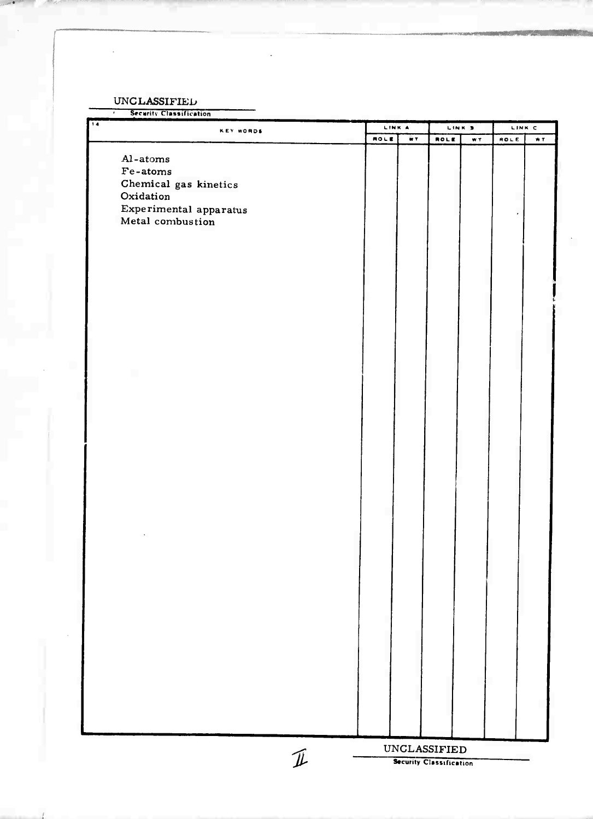#### UNCLASSIFIEL

Security Classification

| $\overline{14}$<br><b>KEY WORDS</b> | <b>LINK A</b> |                        | LINK 3 |                | LINK C |       |
|-------------------------------------|---------------|------------------------|--------|----------------|--------|-------|
|                                     |               | ROLE<br>$\overline{N}$ | ROLE   | $\overline{M}$ | ROLE   | $W$ T |
| Al-atoms                            |               |                        |        |                |        |       |
| Fe-atoms                            |               |                        |        |                |        |       |
|                                     |               |                        |        |                |        |       |
| Chemical gas kinetics               |               |                        |        |                |        |       |
| Oxidation                           |               |                        |        |                |        |       |
| Experimental apparatus              |               |                        |        |                |        |       |
| Metal combustion                    |               |                        |        |                |        |       |
|                                     |               |                        |        |                |        |       |
|                                     |               |                        |        |                |        |       |
|                                     |               |                        |        |                |        |       |
|                                     |               |                        |        |                |        |       |
|                                     |               |                        |        |                |        |       |
|                                     |               |                        |        |                |        |       |
|                                     |               |                        |        |                |        |       |
|                                     |               |                        |        |                |        |       |
|                                     |               |                        |        |                |        |       |
|                                     |               |                        |        |                |        |       |
|                                     |               |                        |        |                |        |       |
|                                     |               |                        |        |                |        |       |
|                                     |               |                        |        |                |        |       |
|                                     |               |                        |        |                |        |       |
|                                     |               |                        |        |                |        |       |
|                                     |               |                        |        |                |        |       |
|                                     |               |                        |        |                |        |       |
|                                     |               |                        |        |                |        |       |
|                                     |               |                        |        |                |        |       |
|                                     |               |                        |        |                |        |       |
|                                     |               |                        |        |                |        |       |
|                                     |               |                        |        |                |        |       |
|                                     |               |                        |        |                |        |       |
|                                     |               |                        |        |                |        |       |
|                                     |               |                        |        |                |        |       |
|                                     |               |                        |        |                |        |       |
|                                     |               |                        |        |                |        |       |
|                                     |               |                        |        |                |        |       |
|                                     |               |                        |        |                |        |       |
|                                     |               |                        |        |                |        |       |
|                                     |               |                        |        |                |        |       |
|                                     |               |                        |        |                |        |       |
|                                     |               |                        |        |                |        |       |
|                                     |               |                        |        |                |        |       |
|                                     |               |                        |        |                |        |       |
|                                     |               |                        |        |                |        |       |
|                                     |               |                        |        |                |        |       |
|                                     |               |                        |        |                |        |       |
|                                     |               |                        |        |                |        |       |
|                                     |               |                        |        |                |        |       |
|                                     |               |                        |        |                |        |       |

 $\widehat{\mu}$ 

UNCLASSIFIED

Security Classification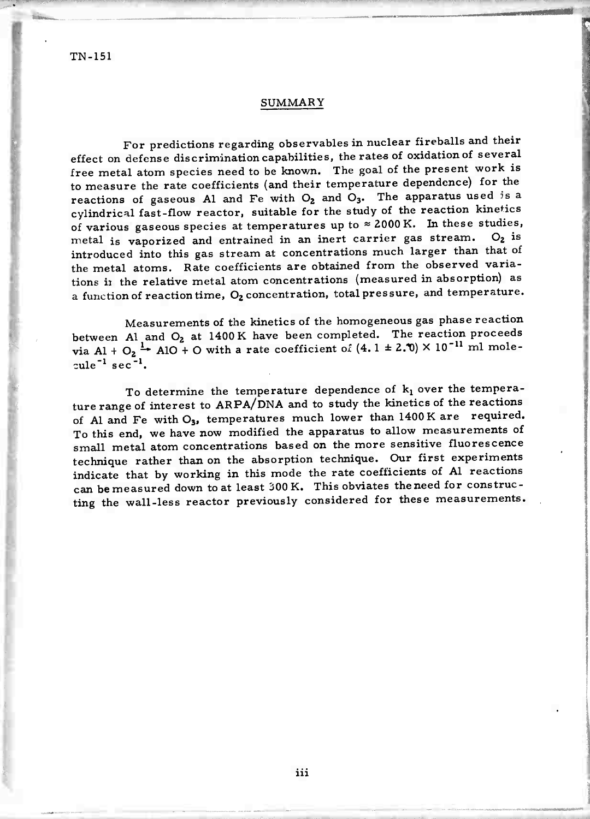#### **SUMMARY**

For predictions regarding observables in nuclear fireballs and their effect on defense discrimination capabilities, the rates of oxidation of several free metal atom species need to be known. The goal of the present work is to measure the rate coefficients (and their temperature dependence) for the reactions of gaseous Al and Fe with  $O_2$  and  $O_3$ . The apparatus used is a cylindrical fast-flow reactor, suitable for the study of the reaction kinetics of various gaseous species at temperatures up to  $\approx 2000 \text{ K}$ . In these studies,<br>metal is unperised and entrained in an inert carrier gas stream. O2 is metal is vaporized and entrained in an inert carrier gas stream. introduced into this gas stream at concentrations much larger than that of the metal atoms. Rate coefficients are obtained from the observed variations ii the relative metal atom concentrations (measured in absorption) as a function of reaction time,  $O_2$  concentration, total pressure, and temperature.

Measurements of the kinetics of the homogeneous gas phase reaction between  $Al$  and  $O_2$  at 1400 K have been completed. The reaction proceeds between Al and  $O_2$  at 1400 K have been completed. The reasons provided via Al +  $O_2 \rightarrow$  AlO + O with a rate coefficient of  $(4. 1 \pm 2.0) \times 10^{-11}$  ml mole- $\text{rule}^{-1}$  sec<sup>-1</sup>.

To determine the temperature dependence of  $k_1$  over the temperature range of interest to ARPA/DNA and to study the kinetics of the reactions of Al and Fe with  $O_3$ , temperatures much lower than  $1400\,\mathrm{K}$  are required. To this end, we have now modified the apparatus to allow measurements of small metal atom concentrations based on the more sensitive fluorescence technique rather than on the absorption technique. Our first experiments indicate that by working in this mode the rate coefficients of Al reactions can be measured down to at least 300 K. This obviates the need for constructing the wall-less reactor previously considered for these measurements.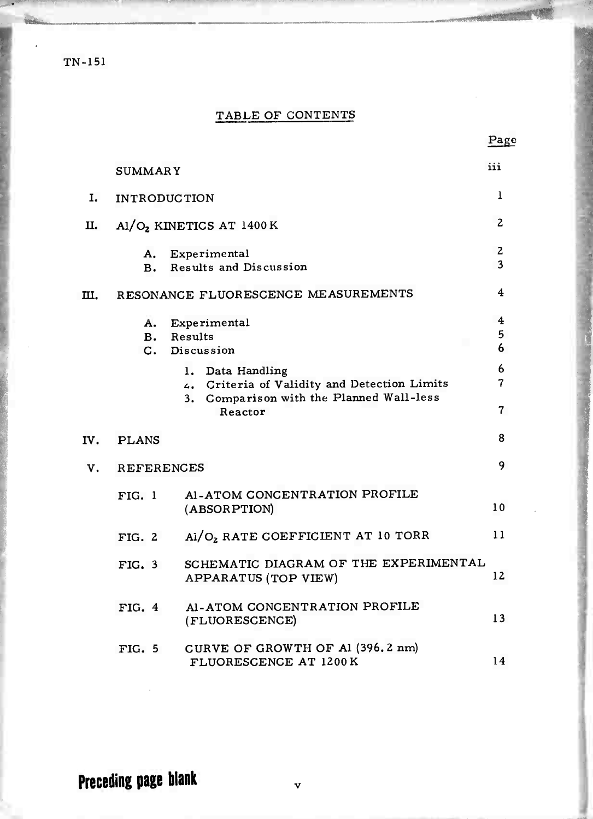$\overline{\phantom{a}}$ 

# TABLE OF CONTENTS

|     |                     |                                                                                                                                                                           | Page                                                                       |  |
|-----|---------------------|---------------------------------------------------------------------------------------------------------------------------------------------------------------------------|----------------------------------------------------------------------------|--|
|     | <b>SUMMARY</b>      |                                                                                                                                                                           | iii                                                                        |  |
| I.  | <b>INTRODUCTION</b> |                                                                                                                                                                           |                                                                            |  |
| II. |                     | $Al/O2$ KINETICS AT 1400 K                                                                                                                                                | $\overline{2}$                                                             |  |
|     | Α.<br><b>B.</b>     | Experimental<br>Results and Discussion                                                                                                                                    | $\mathbf{z}$<br>$\overline{\mathbf{3}}$                                    |  |
| Ш.  |                     | RESONANCE FLUORESCENCE MEASUREMENTS                                                                                                                                       | 4                                                                          |  |
|     | А.                  | Experimental<br>B. Results<br>C. Discussion<br>1. Data Handling<br>4. Criteria of Validity and Detection Limits<br>Comparison with the Planned Wall-less<br>3.<br>Reactor | $\overline{\mathbf{4}}$<br>5<br>6<br>6<br>$\overline{7}$<br>$\overline{7}$ |  |
| IV. | <b>PLANS</b>        |                                                                                                                                                                           | 8                                                                          |  |
| V.  | <b>REFERENCES</b>   |                                                                                                                                                                           | 9                                                                          |  |
|     | FIG. 1              | AI-ATOM CONCENTRATION PROFILE<br>(ABSORPTION)                                                                                                                             | 10                                                                         |  |
|     | FIG. 2              | $\text{Ai/O}_2$ RATE COEFFICIENT AT 10 TORR                                                                                                                               | 11                                                                         |  |
|     | FIG. 3              | SCHEMATIC DIAGRAM OF THE EXPERIMENTAL<br>APPARATUS (TOP VIEW)                                                                                                             | 12                                                                         |  |
|     | FIG. 4              | AI-ATOM CONCENTRATION PROFILE<br>(FLUORESCENCE)                                                                                                                           | 13                                                                         |  |
|     | FIG. 5              | CURVE OF GROWTH OF Al (396.2 nm)<br>FLUORESCENCE AT 1200K                                                                                                                 | 14                                                                         |  |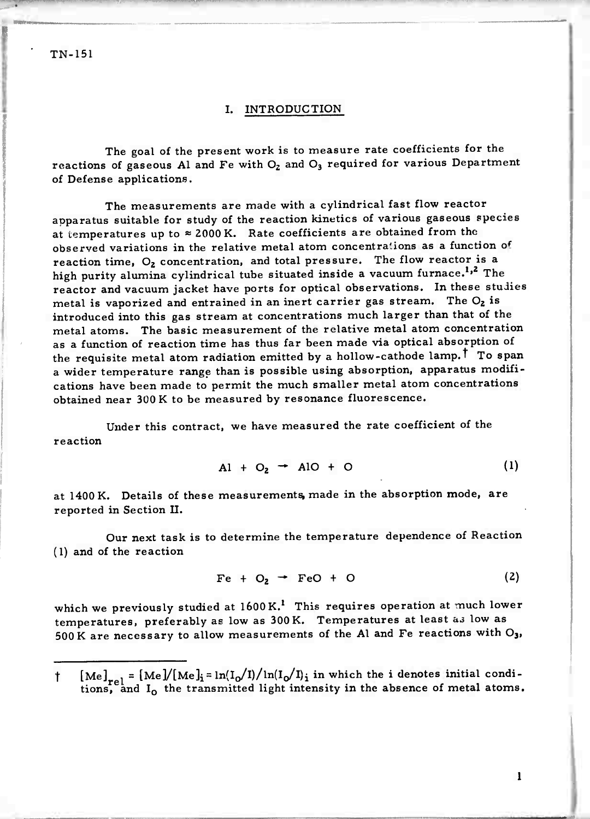**• ',«»w.i,.,,,iw.nWifiiwni..i!ju.»>ii. . iü.i..** *immtfwm '*

### I. INTRODUCTION

The goal of the present work is to measure rate coefficients for the reactions of gaseous Al and Fe with  $O_2$  and  $O_3$  required for various Department of Defense applications.

The measurements are made with a cylindrical fast flow reactor apparatus suitable for study of the reaction kinetics of various gaseous species at temperatures up to  $\approx 2000 \text{ K}$ . Rate coefficients are obtained from the observed variations in the relative metal atom concentrations as a function of reaction time,  $O_2$  concentration, and total pressure. The flow reactor is a high purity alumina cylindrical tube situated inside a vacuum furnace.<sup>1,2</sup> The reactor and vacuum jacket have ports for optical observations. In these studies metal is vaporized and entrained in an inert carrier gas stream. The  $O_2$  is introduced into this gas stream at concentrations much larger than that of the metal atoms. The basic measurement of the relative metal atom concentration as a function of reaction time has thus far been made via optical absorption of the requisite metal atom radiation emitted by a hollow-cathode lamp.<sup>†</sup> To span a wider temperature range than is possible using absorption, apparatus modifications have been made to permit the much smaller metal atom concentrations obtained near 300 K to be measured by resonance fluorescence.

Under this contract, we have measured the rate coefficient of the reaction

$$
Al + O_2 \rightarrow AlO + O
$$
 (1)

at 1400 K. Details of these measurements, made in the absorption mode, are reported in Section II.

Our next task is to determine the temperature dependence of Reaction (1) and of the reaction

$$
Fe + O_2 \rightarrow FeO + O
$$
 (2)

which we previously studied at  $1600 \text{ K.}^1$  This requires operation at much lower temperatures, preferably as low as 300 K. Temperatures at least a3 low as 500 K are necessary to allow measurements of the Al and Fe reactions with O3,

 $t$  [Me]<sub>rel</sub> = [Me]/[Me]<sub>i</sub> = ln(I<sub>0</sub>/I)/ln(I<sub>0</sub>/I)<sub>i</sub> in which the i denotes initial conditions, and I<sub>o</sub> the transmitted light intensity in the absence of metal atoms.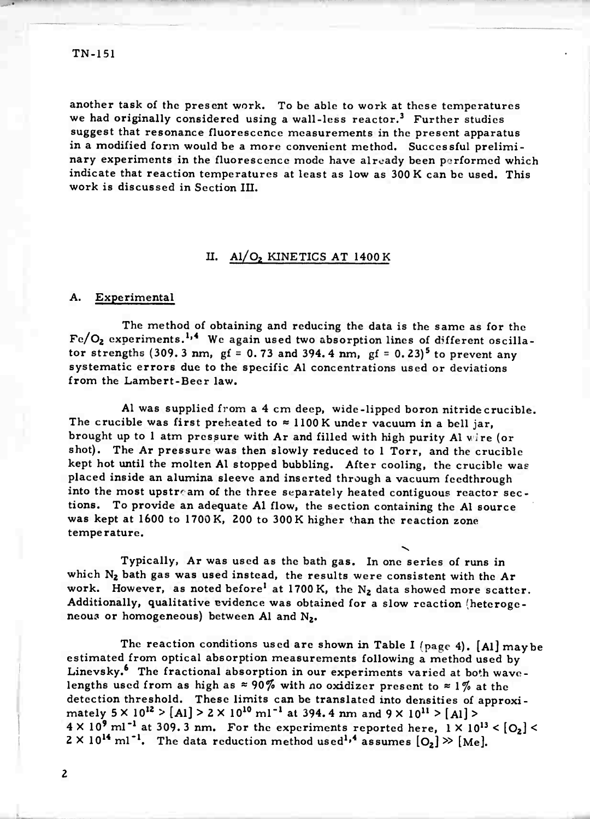another task of the present work. To be able to work at these temperatures we had originally considered using a wall-less reactor.<sup>3</sup> Further studies suggest that resonance fluorescence measurements in the present apparatus in a modified form would be a more convenient method. Successful preliminary experiments in the fluorescence mode have already been performed which indicate that reaction temperatures at least as low as 300 K can be used. This work is discussed in Section III.

#### II.  $\text{Al}/\text{O}_2$  KINETICS AT 1400 K

#### A. Experimental

The method of obtaining and reducing the data is the same as for the  $Fe/O<sub>2</sub>$  experiments.<sup>1,4</sup> We again used two absorption lines of different oscillator strengths (309. 3 nm,  $gf = 0.73$  and 394. 4 nm,  $gf = 0.23$ )<sup>5</sup> to prevent any systematic errors due to the specific Al concentrations used or deviations from the Lambert-Beer law.

Al was supplied from a 4 cm deep, wide-lipped boron nitride crucible. The crucible was first preheated to  $\approx$  1100 K under vacuum in a bell jar, brought up to 1 atm pressure with Ar and filled with high purity Al wire (or shot). The Ar pressure was then slowly reduced to <sup>I</sup> Torr, and the crucible kept hot until the molten Al stopped bubbling. After cooling, the crucible was placed inside an alumina sleeve and inserted through a vacuum feedthrough into the most upstream of the three separately heated contiguous reactor sections. To provide an adequate Al flow, the section containing the Al source was kept at 1600 to 1700K, 200 to 300 K higher than the reaction zone temperature.

Typically, Ar was used as the bath gas. In one series of runs in which  $N_2$  bath gas was used instead, the results were consistent with the Ar work. However, as noted before<sup>l</sup> at 1700 K, the N<sub>2</sub> data showed more scatter. Additionally, qualitative evidence was obtained for a slow reaction (heterogeneous or homogeneous) between Al and <sup>N</sup>2.

The reaction conditions used are shown in Table I (page 4). [Al] may be estimated from optical absorption measurements following a method used by Linevsky.<sup>6</sup> The fractional absorption in our experiments varied at both wavelengths used from as high as  $\approx 90\%$  with no oxidizer present to  $\approx 1\%$  at the detection threshold. These limits can be translated into densities of approxidetection threshold. These limits can be translated into densities of<br>mately  $5 \times 10^{12} > [A1] > 2 \times 10^{10}$  ml<sup>-1</sup> at 394.4 nm and 9  $\times 10^{11} > [A1] >$  $4 \times 10^9$  ml<sup>-1</sup> at 309.3 nm. For the experiments reported here,  $1 \times 10^{13} < [O_2]$  $2 \times 10^{14}$  ml<sup>-1</sup>. The data reduction method used<sup>1,4</sup> assumes  $[Q_2] \gg [Me]$ .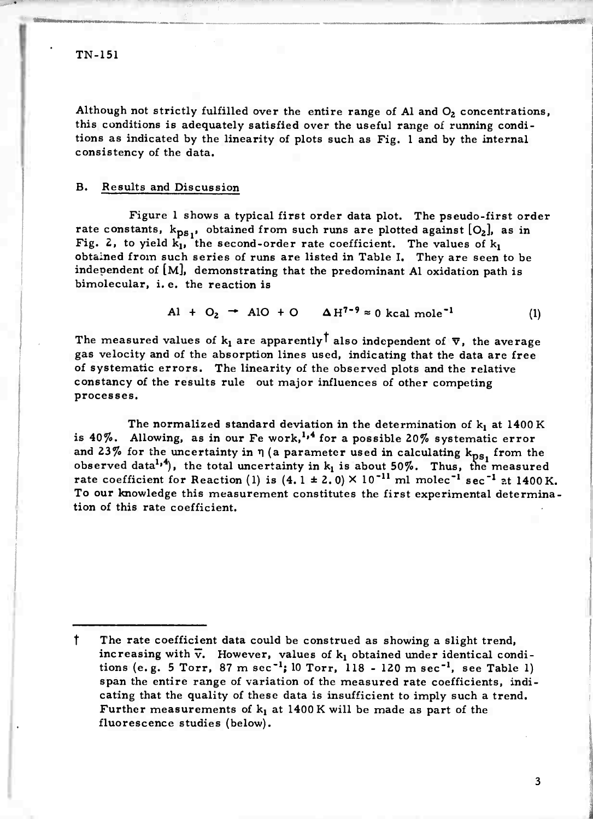Although not strictly fulfilled over the entire range of Al and  $O_2$  concentrations, this conditions is adequately satisfied over the useful range of running conditions as indicated by the linearity of plots such as Fig. <sup>1</sup> and by the internal consistency of the data.

#### B. Results and Discussion

Figure <sup>1</sup> shows a typical first order data plot. The pseudo-first order rate constants,  $k_{DS_1}$ , obtained from such runs are plotted against  $[O_2]$ , as in Fig. 2, to yield  $k_1$ , the second-order rate coefficient. The values of  $k_1$ obtained from such series of runs are listed in Table I. They are seen to be independent of [M], demonstrating that the predominant Al oxidation path is bimolecular, i. e. the reaction is

$$
Al + O_2 \rightarrow AlO + O \qquad \Delta H^{7-9} \approx 0 \text{ kcal mole}^{-1}
$$
 (1)

The measured values of  $k_1$  are apparently<sup>†</sup> also independent of  $\bar{v}$ , the average gas velocity and of the absorption lines used, indicating that the data are free of systematic errors. The linearity of the observed plots and the relative constancy of the results rule out major influences of other competing processes.

The normalized standard deviation in the determination of  $k_1$  at 1400 K is  $40\%$ . Allowing, as in our Fe work,<sup>1,4</sup> for a possible  $20\%$  systematic error and 23% for the uncertainty in  $\eta$  (a parameter used in calculating  $k_{\text{DS}_1}$  from the observed data<sup>1,4</sup>), the total uncertainty in  $k_1$  is about 50%. Thus, the measured observed data<sup>.</sup>'), the total uncertainty in k<sub>1</sub> is about 50%. Thus, the measured<br>rate coefficient for Reaction (1) is  $(4.1 \pm 2.0) \times 10^{-11}$  ml molec<sup>-1</sup> sec<sup>-1</sup> at 1400 K. To our knowledge this measurement constitutes the first experimental determination of this rate coefficient.

 $\overline{\mathbf{3}}$ 

 $\ddagger$ The rate coefficient data could be construed as showing a slight trend, increasing with  $\overline{v}$ . However, values of  $k_1$  obtained under identical conditions (e.g. 5 Torr, 87 m sec<sup>-1</sup>; 10 Torr, 118 - 120 m sec<sup>-1</sup>, see Table 1) span the entire range of variation of the measured rate coefficients, indicating that the quality of these data is insufficient to imply such a trend. Further measurements of  $k<sub>1</sub>$  at 1400 K will be made as part of the fluorescence studies (below).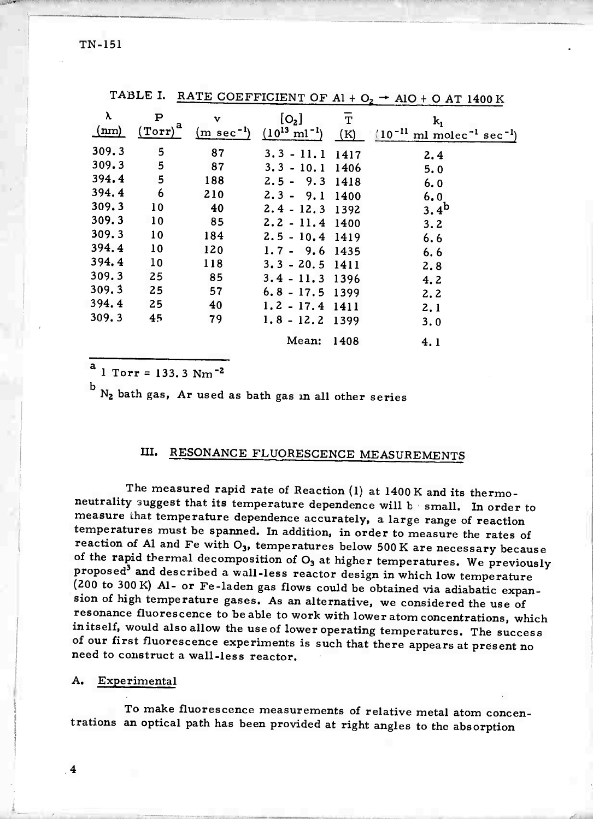| N<br>Ŧ<br>u |  |  |
|-------------|--|--|
|-------------|--|--|

| TABLE I.<br>RATE COEFFICIENT OF $Al + O_2 \rightarrow AlO + O AT$ 1400 K |                          |                        |                                                                                 |              |                                                                             |
|--------------------------------------------------------------------------|--------------------------|------------------------|---------------------------------------------------------------------------------|--------------|-----------------------------------------------------------------------------|
| λ<br>(nm)                                                                | ${\bf P}$<br>a<br>(Torr) | v<br>$(m \sec^{-1})$   | [O <sub>2</sub> ]<br>$(10^{13} \text{ ml}^{-1})$                                | т<br>(K)     | $\mathbf{k}_1$<br>$(10^{-11}$<br>ml molec <sup>-1</sup> sec <sup>-1</sup> ) |
| 309.3<br>309.3<br>394.4<br>394.4                                         | 5<br>5<br>5<br>6         | 87<br>87<br>188<br>210 | $3.3 - 11.1$<br>$3.3 - 10.1$<br>$2.5 - 9.3$ 1418<br>$2.3 - 9.1$ 1400            | 1417<br>1406 | 2.4<br>5.0<br>6.0<br>6.0                                                    |
| 309.3<br>309.3<br>309.3                                                  | 10<br>10<br>10           | 40<br>85<br>184        | $2.4 - 12.3$ 1392<br>$2.2 - 11.4$ 1400<br>$2.5 - 10.4$ 1419                     |              | $3.4^{b}$<br>3.2<br>6.6                                                     |
| 394.4<br>394.4<br>309.3<br>309.3                                         | 10<br>10<br>25<br>25     | 120<br>118<br>85<br>57 | $1.7 - 9.6$ 1435<br>$3.3 - 20.5$ 1411<br>$3.4 - 11.3$ 1396<br>$6.8 - 17.5$ 1399 |              | 6.6<br>2.8<br>4.2<br>2, 2                                                   |
| 394.4<br>309.3                                                           | 25<br>45                 | 40<br>79               | $1.2 - 17.4$ 1411<br>$1.8 - 12.2$ 1399<br>Mean:                                 | 1408         | 2.1<br>3.0<br>4.1                                                           |
|                                                                          |                          |                        |                                                                                 |              |                                                                             |

 $a_{1}$  Torr = 133.3 Nm<sup>-2</sup>

 $b$   $N_2$  bath gas, Ar used as bath gas in all other series

## in. RESONANCE FLUORESCENCE MEASUREMENTS

The measured rapid rate of Reaction (1) at 1400 K and its thermoneutrality suggest that its temperature dependence will be small. In order to measure that temperature dependence accurately, a large range of reaction temperatures must be spanned. In addition, in order to measure the rates of reaction of Al and Fe with  $O_3$ , temperatures below 500 K are necessary because of the rapid thermal decomposition of  $O_3$  at higher temperatures. We previously proposed<sup>3</sup> and described a wall-less reactor design in which low temperature (200 to 300 K) Al- or Fe-laden gas flows could be obtained via adiabatic expansion of high temperature gases. As an alternative, we considered the use of resonance fluorescence to be able to work with lower atom concentrations, which initself, would also allow the use of lower operating temperatures. The success of our first fluorescence experiments is such that there appears at present no need to construct a wall-less reactor.

#### A. Experimental

To make fluorescence measurements of relative metal atom concentrations an optical path has been provided at right angles to the absorption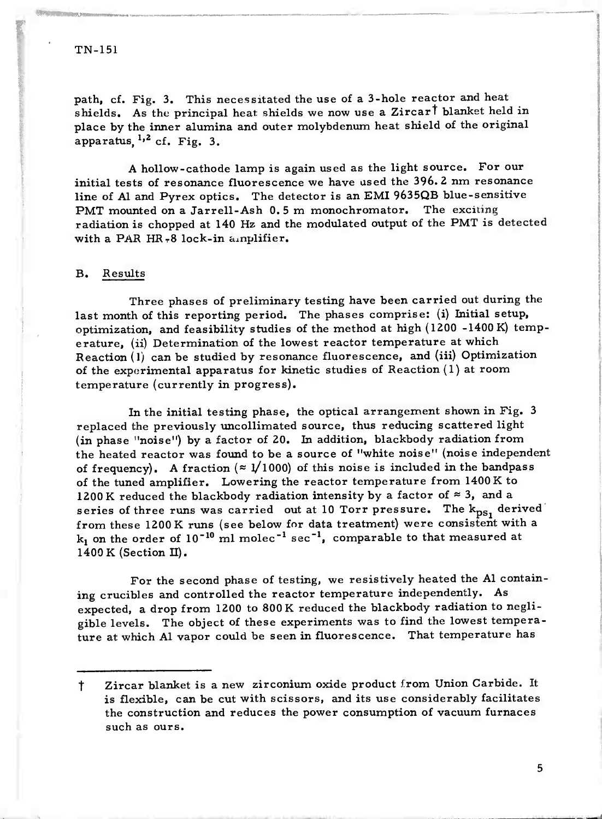path, cf. Fig. 3. This necessitated the use of a 3-hole reactor and heat shields. As the principal heat shields we now use a Zircar<sup>†</sup> blanket held in place by the inner alumina and outer molybdenum heat shield of the original apparatus,  $^{1,2}$  cf. Fig. 3.

A hollow-cathode lamp is again used as the light source. For our initial tests of resonance fluorescence we have used the 396.2 nm resonance line of Al and Pyrex optics. The detector is an EMI 9635QB blue-sensitive<br>PMT mounted on a Jarrell-Ash 0.5 m monochromator. The exciting PMT mounted on a Jarrell-Ash 0.5 m monochromator. radiation is chopped at 140 Hz and the modulated output of the PMT is detected with a PAR HR $-8$  lock-in amplifier.

#### B. Results

Three phases of preliminary testing have been carried out during the last month of this reporting period. The phases comprise: (i) Initial setup, optimization, and feasibility studies of the method at high (1200 -1400 K) temperature, (ii) Determination of the lowest reactor temperature at which Reaction (1) can be studied by resonance fluorescence, and (iii) Optimization of the experimental apparatus for kinetic studies of Reaction (1) at room temperature (currently in progress).

In the initial testing phase, the optical arrangement shown in Fig. <sup>3</sup> replaced the previously uncollimated source, thus reducing scattered light (in phase "noise") by a factor of 20. In addition, blackbody radiation from the heated reactor was found to be a source of "white noise" (noise independent of frequency). A fraction ( $\approx$  1/1000) of this noise is included in the bandpass of the tuned amplifier. Lowering the reactor temperature from 1400 K to 1200 K reduced the blackbody radiation intensity by a factor of  $\approx$  3, and a series of three runs was carried out at 10 Torr pressure. The  $k_{DS_1}$  derived from these 1200 K runs (see below for data treatment) were consistent with a from these 1200 K runs (see below for data treatment) were consistent with<br>k<sub>1</sub> on the order of 10<sup>-10</sup> ml molec<sup>-1</sup> sec<sup>-1</sup>, comparable to that measured at  $1400$  K (Section II).

For the second phase of testing, we resistively heated the Al containing crucibles and controlled the reactor temperature independently. As expected, a drop from 1200 to 800 K reduced the blackbody radiation to negligible levels. The object of these experiments was to find the lowest temperature at which Al vapor could be seen in fluorescence. That temperature has

Zircar blanket is a new zirconium oxide product from Union Carbide. It  $\mathbf{t}$ is flexible, can be cut with scissors, and its use considerably facilitates the construction and reduces the power consumption of vacuum furnaces such as ours.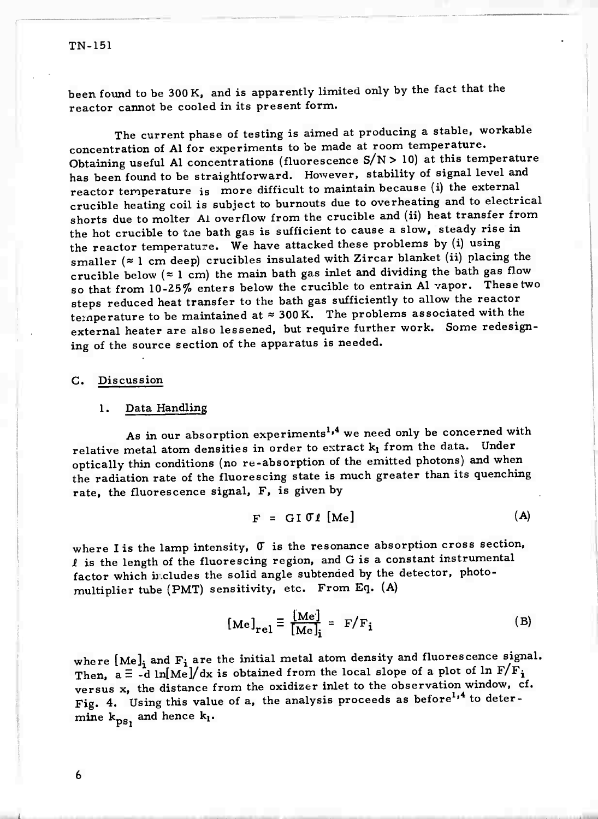been found to be 300 K, and is apparently limited only by the fact that the reactor cannot be cooled in its present form.

The current phase of testing is aimed at producing a stable, workable concentration of Al for experiments to be made at room temperature. Obtaining useful Al concentrations (fluorescence S/N > 10) at this temperature has been found to be straightforward. However, stability of signal level and reactor temperature is more difficult to maintain because (i) the external crucible heating coil is subject to burnouts due to overheating and to electrical shorts due to molter Ai overflow from the crucible and (ii) heat transfer from the hot crucible to tne bath gas is sufficient to cause a slow, steady rise in the reactor temperature. We have attacked these problems by (i) using smaller  $($   $\approx$  1 cm deep) crucibles insulated with Zircar blanket (ii) placing the crucible below ( $\approx 1$  cm) the main bath gas inlet and dividing the bath gas flow so that from 10-25% enters below the crucible to entrain Al vapor. These two steps reduced heat transfer to the bath gas sufficiently to allow the reactor temperature to be maintained at  $\approx 300 \text{ K}$ . The problems associated with the external heater are also lessened, but require further work. Some redesigning of the source section of the apparatus is needed.

#### C. Discussion

#### 1. Data Handling

As in our absorption experiments<sup>1,4</sup> we need only be concerned with relative metal atom densities in order to extract  $k_1$  from the data. Under optically thin conditions (no re-absorption of the emitted photons) and when the radiation rate of the fluorescing state is much greater than its quenching rate, the fluorescence signal, F, is given by

$$
F = GIOI [Me]
$$
 (A)

where I is the lamp intensity,  $0$  is the resonance absorption cross section,  $l$  is the length of the fluorescing region, and G is a constant instrumental factor which includes the solid angle subtended by the detector, photomultiplier tube (PMT) sensitivity, etc. From Eq. (A)

$$
[\text{Me}]_{\text{rel}} \equiv \frac{[\text{Me}]}{[\text{Me}]_{\text{i}}} = \text{F}/\text{F}_{\text{i}} \tag{B}
$$

where  $[Me]_i$  and  $F_i$  are the initial metal atom density and fluorescence signal. Then,  $a \equiv -d \ln[Me]/dx$  is obtained from the local slope of a plot of  $\ln F/F_i$ versus x, the distance from the oxidizer inlet to the observation window, cf. Fig. 4. Using this value of a, the analysis proceeds as before<sup>1,4</sup> to determine  $k_{ps_1}$  and hence  $k_1$ .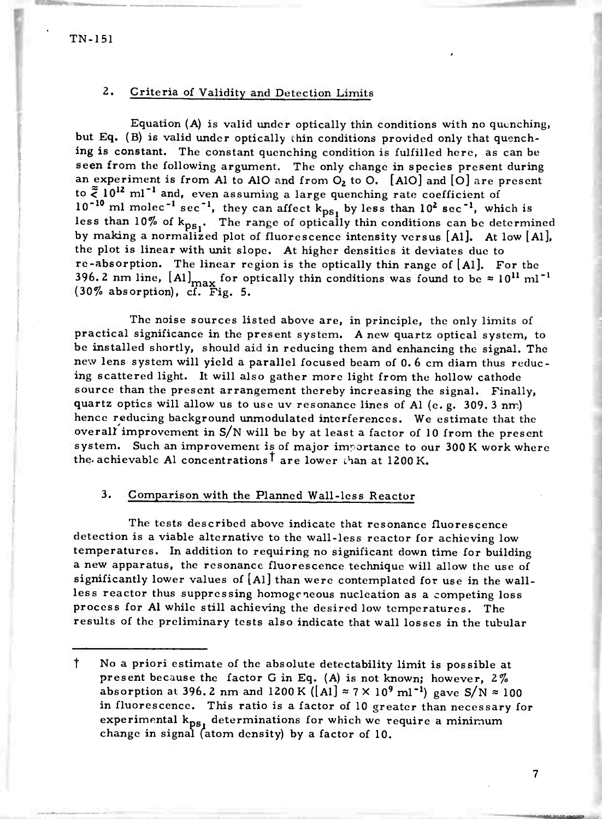### 2. Criteria of Validity and Detection Limits

Equation (A) is valid under optically thin conditions with no quenching, but Eq. (B) is valid under optically ihin conditions provided only that quenching is constant. The constant quenching condition is fulfilled here, as can be seen from the following argument. The only change in species present during an experiment is from Al to AlO and from  $O_2$  to O. [AlO] and [O] are present to  $\tilde{z}$  10<sup>12</sup> ml<sup>-1</sup> and, even assuming a large quenching rate coefficient of  $10^{-10}$  ml molec<sup>-1</sup> sec<sup>-1</sup>, they can affect  $k_{ps_1}$  by less than  $10^2$  sec<sup>-1</sup>, which is less than 10% of k<sub>ps<sub>1</sub></sub>. The range of optically thin conditions can be determined by making a normalized plot of fluorescence intensity versus [Al]. At low [Al], the plot is linear with unit slope. At higher densities it deviates due to re-absorption. The linear region is the optically thin range of [Al]. For the 396.2 nm line, [Al]<sub>max</sub> for optically thin conditions was found to be  $\approx 10^{11}$  ml<sup>-1</sup> (30% absorption), cf. Fig. 5.

The noise sources listed above are, in principle, the only limits of practical significance in the present system. <sup>A</sup> new quartz optical system, to be installed shortly, should aid in reducing them and enhancing the signal. The new lens system will yield a parallel focused beam of 0. <sup>6</sup> cm diam thus reducing scattered light. It will also gather more light from the hollow cathode source than the present arrangement thereby increasing the signal. Finally, quartz optics will allow us to use uv resonance lines of Al (e.g. 309.3 nm) hence reducing background unmodulated interferences. We estimate that the overall improvement in S/N will be by at least a factor of 10 from the present system. Such an improvement is of major importance to our 300 K work where the achievable Al concentrations<sup>I</sup> are lower than at 1200 K.

### 3. Comparison with the Planned Wall-less Reactor

The tests described above indicate that resonance fluorescence detection is a viable alternative to the wall-less reactor for achieving low temperatures. In addition to requiring no significant down time for building a new apparatus, the resonance fluorescence technique will allow the use of significantly lower values of [Al] than were contemplated for use in the wallless reactor thus suppressing homogeneous nucleation as a competing loss process for Al while still achieving the desired low temperatures. The results of the preliminary tests also indicate that wall losses in the tubular

 $\overline{7}$ 

 $\ddagger$ No a priori estimate of the absolute detectability limit is possible at present because the factor G in Eq. (A) is not known; however, 2% absorption at 396.2 nm and 1200 K ([Al]  $\approx$  7 X 10<sup>9</sup> ml<sup>-1</sup>) gave S/N  $\approx$  100 in fluorescence. This ratio is a factor of <sup>10</sup> greater than necessary for experimental  $k_{ps_1}$  determinations for which we require a minimum change in signal (atom density) by a factor of 10.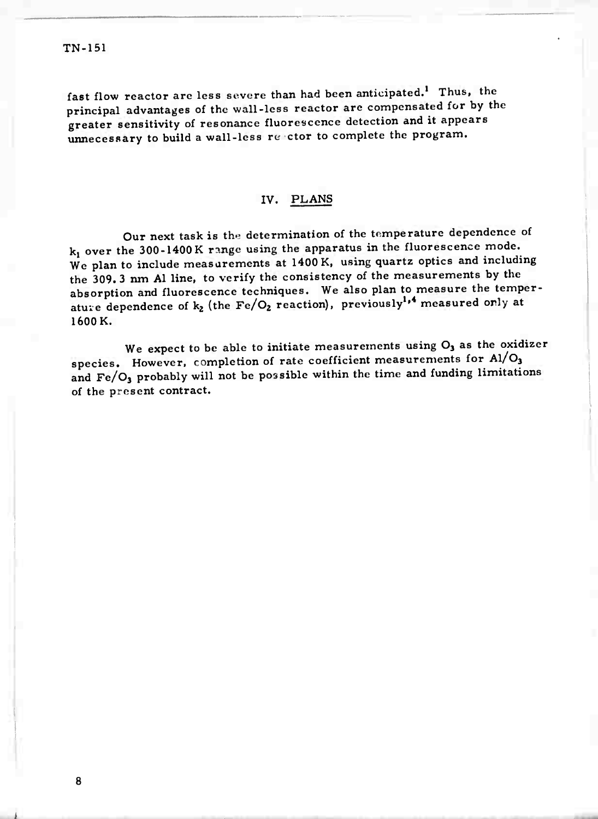fast flow reactor are less severe than had been anticipated.<sup>1</sup> Thus, the principal advantages of the wall-less reactor are compensated for by the greater sensitivity of resonance fluorescence detection and it appears unnecessary to build a wall-less re ctor to complete the program.

### IV. PLANS

Our next task is the determination of the temperature dependence of  $k_1$  over the 300-1400 K range using the apparatus in the fluorescence mode. We plan to include measurements at 1400 K, using quartz optics and including the 309.3 nm Al line, to verify the consistency of the measurements by the absorption and fluorescence techniques. We also plan to measure the temperature dependence of  $k_2$  (the  $Fe/O_2$  reaction), previously<sup>1,4</sup> measured only at 1600K.

We expect to be able to initiate measurements using  $O_3$  as the oxidizer species. However, completion of rate coefficient measurements for Al/O<sub>3</sub> and  $Fe/O<sub>3</sub>$  probably will not be possible within the time and funding limitations of the present contract.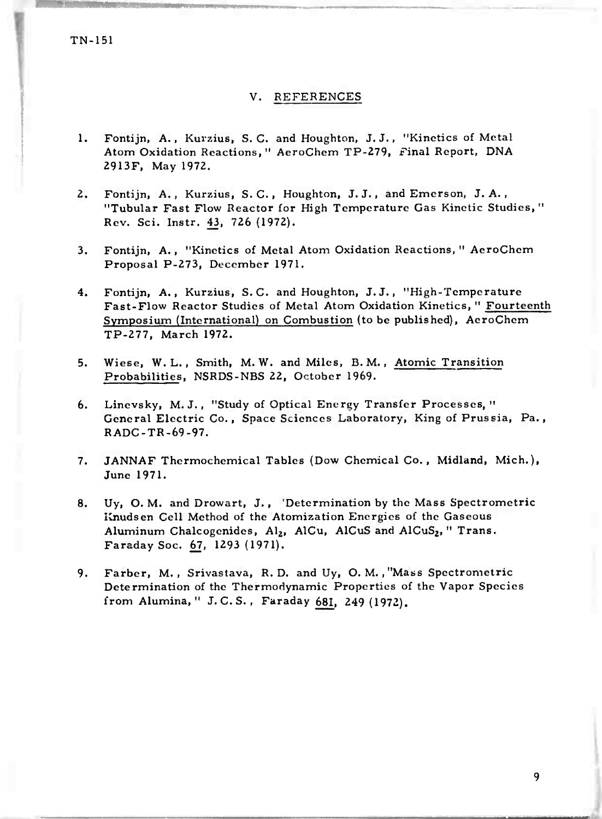# TN-151

#### V. REFERENCES

- 1. Fontijn, A., Kurzius, S. C. and Houghton, J. J. , "Kinetics of Metal Atom Oxidation Reactions, " AeroChem TP-279, Final Report, DNA 2913F, May 1972.
- 2. Fontijn, A., Kurzius, S. C. , Houghton, J. J. , and Emerson, J. A. , "Tubular Fast Flow Reactor for High Temperature Gas Kinetic Studies, " Rev. Sei. Instr. 43, 726 (1972).
- 3. Fontijn, A., "Kinetics of Metal Atom Oxidation Reactions," AeroChem Proposal P-273, December 1971.
- 4. Fontijn, A., Kurzius, S. C. and Houghton, J. J. , "High-Temperature Fast-Flow Reactor Studies of Metal Atom Oxidation Kinetics, " Fourteenth Symposium (International) on Combustion (to be published), AeroChem TP-277, March 1972.
- 5. Wiese, W. L. , Smith, M. W. and Miles, B. M., Atomic Transition Probabilities, NSRDS-NBS 22, October 1969.
- 6. Linevsky, M. J. , "Study of Optical Energy Transfer Processes," General Electric Co., Space Sciences Laboratory, King of Prussia, Pa., RADC-TR-69-97.
- 7. JANNAF Thermochemical Tables (Dow Chemical Co., Midland, Mich.), June 1971.
- 8. Uy, O. M. and Drowart, J., Determination by the Mass Spectrometric Knudsen Cell Method of the Atomization Energies of the Gaseous Aluminum Chalcogenides,  $Al_2$ , AlCu, AlCuS and AlCuS<sub>2</sub>, " Trans. Faraday Soc. 67, 1293(1971).
- 9. Färber, M. , Srivastava, R. D. and Uy, O. M. ,"Mass Spectrometric Determination of the Thermodynamic Properties of the Vapor Species from Alumina," J.C.S. , Faraday 681, 249(1972).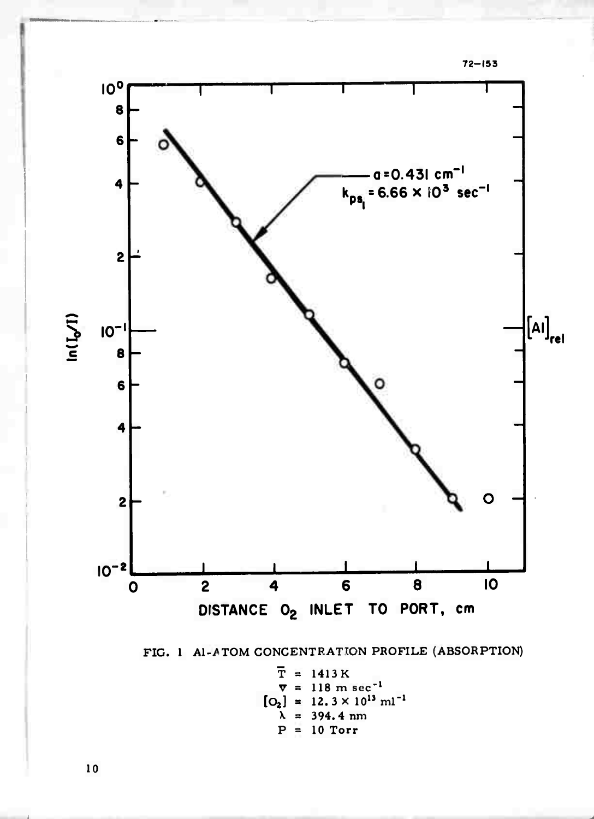

FIG. 1 AI-ATOM CONCENTRATION PROFILE (ABSORPTION)

$$
T = 1413 K
$$
  
\n
$$
\nabla = 118 m sec^{-1}
$$
  
\n
$$
[O_2] = 12.3 \times 10^{13} m^{-1}
$$
  
\n
$$
\lambda = 394.4 m
$$
  
\n
$$
P = 10 Torr
$$

 $10$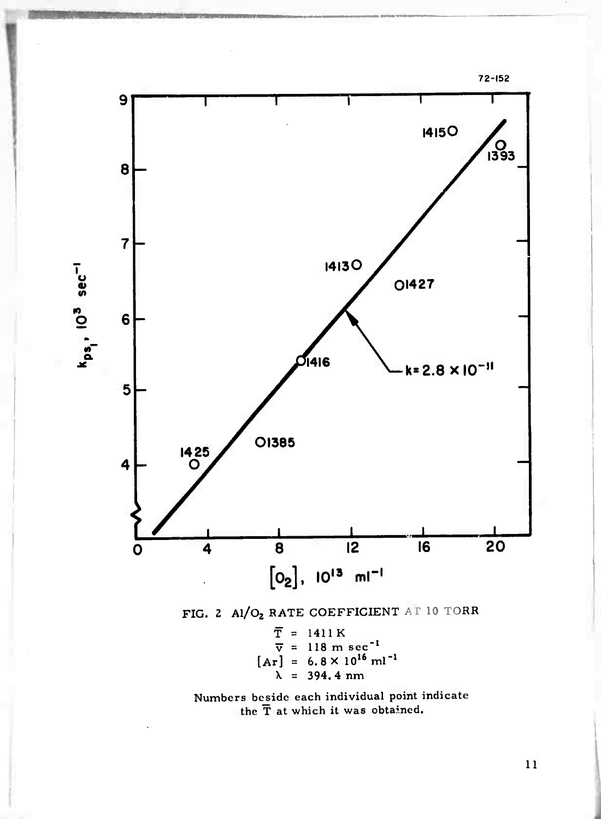



 $\bar{T}$  = 1411K  $\bar{v}$  = 118 m sec<sup>-1</sup>  $[Ar] = 6.8 \times 10^{16}$  ml<sup>-1</sup>  $\lambda = 394.4 \text{ nm}$ 

Numbers beside each individual point indicate the T at which it was obtained.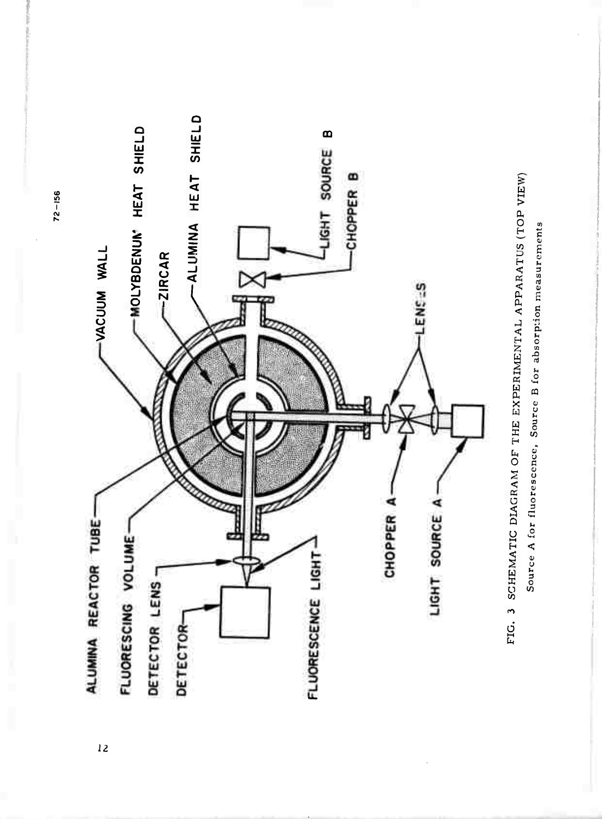

 $72 - 156$ 

 $\overline{12}$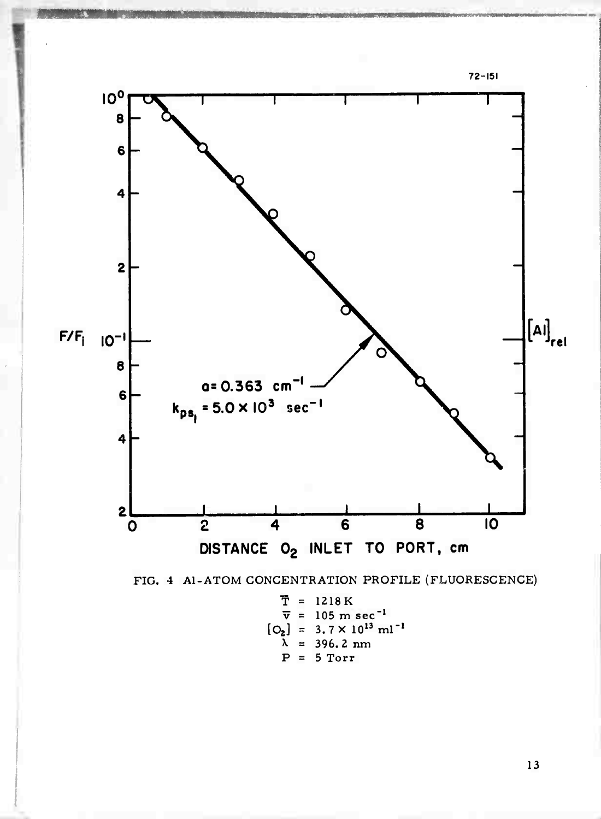

$$
\bar{v} = 1218 \text{ N}
$$
  
\n
$$
\bar{v} = 105 \text{ m sec}^{-1}
$$
  
\n
$$
[O_2] = 3.7 \times 10^{13} \text{ ml}
$$
  
\n
$$
\lambda = 396.2 \text{ nm}
$$
  
\n
$$
P = 5 \text{ Torr}
$$

 $-1$ 

13